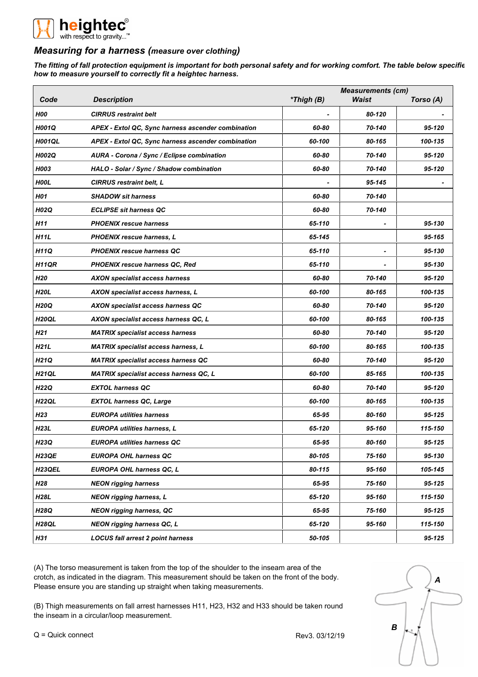

## *Measuring for a harness (measure over clothing)*

*The fitting of fall protection equipment is important for both personal safety and for working comfort. The table below specifies how to measure yourself to correctly fit a heightec harness.*

|                     |                                                    |            | <b>Measurements (cm)</b> |           |  |
|---------------------|----------------------------------------------------|------------|--------------------------|-----------|--|
| Code                | <b>Description</b>                                 | *Thigh (B) | Waist                    | Torso (A) |  |
| <b>H00</b>          | <b>CIRRUS</b> restraint belt                       |            | 80-120                   |           |  |
| H001Q               | APEX - Extol QC, Sync harness ascender combination | 60-80      | 70-140                   | 95-120    |  |
| <b>H001QL</b>       | APEX - Extol QC, Sync harness ascender combination | 60-100     | 80-165                   | 100-135   |  |
| <b>H002Q</b>        | AURA - Corona / Sync / Eclipse combination         | 60-80      | 70-140                   | 95-120    |  |
| H003                | HALO - Solar / Sync / Shadow combination           | 60-80      | 70-140                   | 95-120    |  |
| <b>HOOL</b>         | <b>CIRRUS restraint belt, L</b>                    |            | 95-145                   |           |  |
| <b>H01</b>          | <b>SHADOW sit harness</b>                          | 60-80      | 70-140                   |           |  |
| <b>H02Q</b>         | <b>ECLIPSE sit harness QC</b>                      | 60-80      | 70-140                   |           |  |
| H11                 | <b>PHOENIX rescue harness</b>                      | 65-110     |                          | 95-130    |  |
| H11L                | <b>PHOENIX rescue harness, L</b>                   | 65-145     |                          | 95-165    |  |
| <b>H11Q</b>         | <b>PHOENIX rescue harness QC</b>                   | 65-110     | $\blacksquare$           | 95-130    |  |
| H11QR               | <b>PHOENIX rescue harness QC, Red</b>              | 65-110     |                          | 95-130    |  |
| H20                 | <b>AXON specialist access harness</b>              | 60-80      | 70-140                   | 95-120    |  |
| <b>H20L</b>         | AXON specialist access harness, L                  | 60-100     | 80-165                   | 100-135   |  |
| <b>H20Q</b>         | AXON specialist access harness QC                  | 60-80      | 70-140                   | 95-120    |  |
| H <sub>20QL</sub>   | AXON specialist access harness QC, L               | 60-100     | 80-165                   | 100-135   |  |
| H21                 | <b>MATRIX specialist access harness</b>            | 60-80      | 70-140                   | 95-120    |  |
| H21L                | <b>MATRIX specialist access harness, L</b>         | 60-100     | 80-165                   | 100-135   |  |
| H21Q                | <b>MATRIX specialist access harness QC</b>         | 60-80      | 70-140                   | 95-120    |  |
| <b>H21QL</b>        | <b>MATRIX specialist access harness QC, L</b>      | 60-100     | 85-165                   | 100-135   |  |
| <b>H22Q</b>         | <b>EXTOL harness QC</b>                            | 60-80      | 70-140                   | 95-120    |  |
| H <sub>22QL</sub>   | <b>EXTOL harness QC, Large</b>                     | 60-100     | 80-165                   | 100-135   |  |
| H23                 | <b>EUROPA utilities harness</b>                    | 65-95      | 80-160                   | 95-125    |  |
| H23L                | <b>EUROPA utilities harness, L</b>                 | 65-120     | 95-160                   | 115-150   |  |
| H23Q                | <b>EUROPA utilities harness QC</b>                 | 65-95      | 80-160                   | 95-125    |  |
| <b>H23QE</b>        | <b>EUROPA OHL harness QC</b>                       | 80-105     | 75-160                   | 95-130    |  |
| H <sub>23</sub> QEL | EUROPA OHL harness QC, L                           | 80-115     | 95-160                   | 105-145   |  |
| H28                 | <b>NEON rigging harness</b>                        | 65-95      | 75-160                   | 95-125    |  |
| H28L                | <b>NEON rigging harness, L</b>                     | 65-120     | 95-160                   | 115-150   |  |
| <b>H28Q</b>         | <b>NEON rigging harness, QC</b>                    | 65-95      | 75-160                   | 95-125    |  |
| <b>H28QL</b>        | <b>NEON rigging harness QC, L</b>                  | 65-120     | 95-160                   | 115-150   |  |
| H31                 | <b>LOCUS fall arrest 2 point harness</b>           | 50-105     |                          | 95-125    |  |

(A) The torso measurement is taken from the top of the shoulder to the inseam area of the crotch, as indicated in the diagram. This measurement should be taken on the front of the body. Please ensure you are standing up straight when taking measurements.

(B) Thigh measurements on fall arrest harnesses H11, H23, H32 and H33 should be taken round the inseam in a circular/loop measurement.